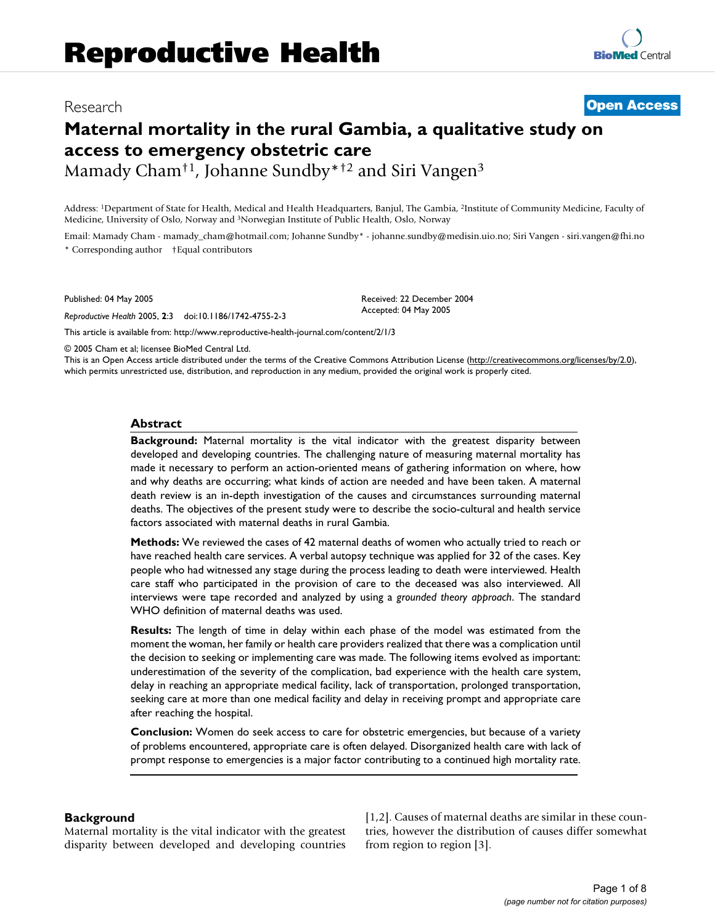# Research **[Open Access](http://www.biomedcentral.com/info/about/charter/)**

# **Maternal mortality in the rural Gambia, a qualitative study on access to emergency obstetric care** Mamady Cham<sup>†1</sup>, Johanne Sundby<sup>\*†2</sup> and Siri Vangen<sup>3</sup>

Address: 1Department of State for Health, Medical and Health Headquarters, Banjul, The Gambia, 2Institute of Community Medicine, Faculty of Medicine, University of Oslo, Norway and 3Norwegian Institute of Public Health, Oslo, Norway

Email: Mamady Cham - mamady\_cham@hotmail.com; Johanne Sundby\* - johanne.sundby@medisin.uio.no; Siri Vangen - siri.vangen@fhi.no \* Corresponding author †Equal contributors

Published: 04 May 2005

*Reproductive Health* 2005, **2**:3 doi:10.1186/1742-4755-2-3

Received: 22 December 2004 Accepted: 04 May 2005

[This article is available from: http://www.reproductive-health-journal.com/content/2/1/3](http://www.reproductive-health-journal.com/content/2/1/3)

© 2005 Cham et al; licensee BioMed Central Ltd.

This is an Open Access article distributed under the terms of the Creative Commons Attribution License [\(http://creativecommons.org/licenses/by/2.0\)](http://creativecommons.org/licenses/by/2.0), which permits unrestricted use, distribution, and reproduction in any medium, provided the original work is properly cited.

#### **Abstract**

**Background:** Maternal mortality is the vital indicator with the greatest disparity between developed and developing countries. The challenging nature of measuring maternal mortality has made it necessary to perform an action-oriented means of gathering information on where, how and why deaths are occurring; what kinds of action are needed and have been taken. A maternal death review is an in-depth investigation of the causes and circumstances surrounding maternal deaths. The objectives of the present study were to describe the socio-cultural and health service factors associated with maternal deaths in rural Gambia.

**Methods:** We reviewed the cases of 42 maternal deaths of women who actually tried to reach or have reached health care services. A verbal autopsy technique was applied for 32 of the cases. Key people who had witnessed any stage during the process leading to death were interviewed. Health care staff who participated in the provision of care to the deceased was also interviewed. All interviews were tape recorded and analyzed by using a *grounded theory approach*. The standard WHO definition of maternal deaths was used.

**Results:** The length of time in delay within each phase of the model was estimated from the moment the woman, her family or health care providers realized that there was a complication until the decision to seeking or implementing care was made. The following items evolved as important: underestimation of the severity of the complication, bad experience with the health care system, delay in reaching an appropriate medical facility, lack of transportation, prolonged transportation, seeking care at more than one medical facility and delay in receiving prompt and appropriate care after reaching the hospital.

**Conclusion:** Women do seek access to care for obstetric emergencies, but because of a variety of problems encountered, appropriate care is often delayed. Disorganized health care with lack of prompt response to emergencies is a major factor contributing to a continued high mortality rate.

#### **Background**

Maternal mortality is the vital indicator with the greatest disparity between developed and developing countries [1,2]. Causes of maternal deaths are similar in these countries, however the distribution of causes differ somewhat from region to region [3].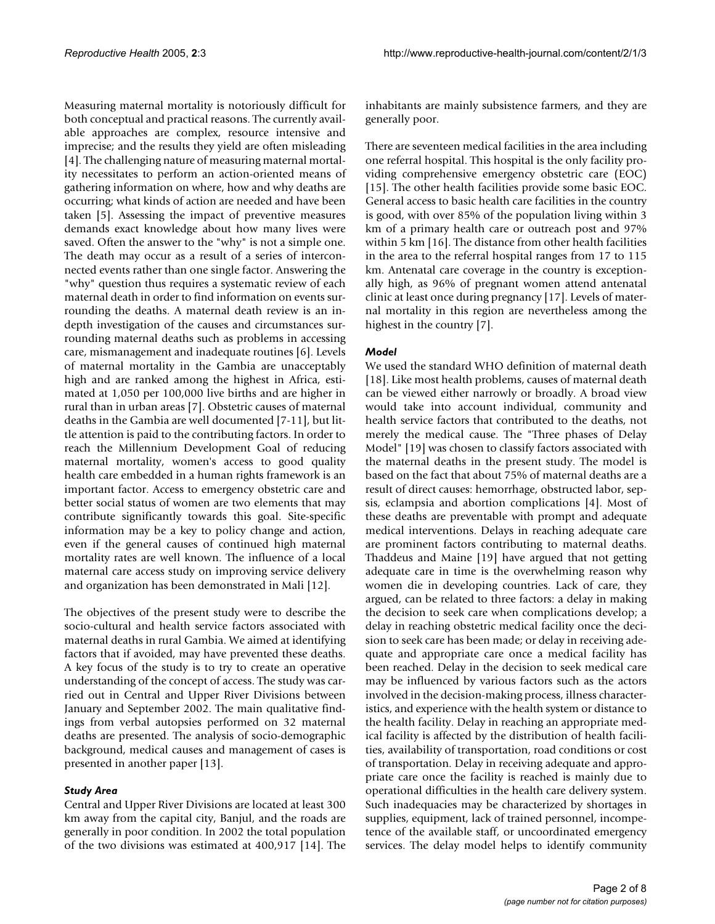Measuring maternal mortality is notoriously difficult for both conceptual and practical reasons. The currently available approaches are complex, resource intensive and imprecise; and the results they yield are often misleading [4]. The challenging nature of measuring maternal mortality necessitates to perform an action-oriented means of gathering information on where, how and why deaths are occurring; what kinds of action are needed and have been taken [5]. Assessing the impact of preventive measures demands exact knowledge about how many lives were saved. Often the answer to the "why" is not a simple one. The death may occur as a result of a series of interconnected events rather than one single factor. Answering the "why" question thus requires a systematic review of each maternal death in order to find information on events surrounding the deaths. A maternal death review is an indepth investigation of the causes and circumstances surrounding maternal deaths such as problems in accessing care, mismanagement and inadequate routines [6]. Levels of maternal mortality in the Gambia are unacceptably high and are ranked among the highest in Africa, estimated at 1,050 per 100,000 live births and are higher in rural than in urban areas [7]. Obstetric causes of maternal deaths in the Gambia are well documented [7-11], but little attention is paid to the contributing factors. In order to reach the Millennium Development Goal of reducing maternal mortality, women's access to good quality health care embedded in a human rights framework is an important factor. Access to emergency obstetric care and better social status of women are two elements that may contribute significantly towards this goal. Site-specific information may be a key to policy change and action, even if the general causes of continued high maternal mortality rates are well known. The influence of a local maternal care access study on improving service delivery and organization has been demonstrated in Mali [12].

The objectives of the present study were to describe the socio-cultural and health service factors associated with maternal deaths in rural Gambia. We aimed at identifying factors that if avoided, may have prevented these deaths. A key focus of the study is to try to create an operative understanding of the concept of access. The study was carried out in Central and Upper River Divisions between January and September 2002. The main qualitative findings from verbal autopsies performed on 32 maternal deaths are presented. The analysis of socio-demographic background, medical causes and management of cases is presented in another paper [13].

# *Study Area*

Central and Upper River Divisions are located at least 300 km away from the capital city, Banjul, and the roads are generally in poor condition. In 2002 the total population of the two divisions was estimated at 400,917 [14]. The

inhabitants are mainly subsistence farmers, and they are generally poor.

There are seventeen medical facilities in the area including one referral hospital. This hospital is the only facility providing comprehensive emergency obstetric care (EOC) [15]. The other health facilities provide some basic EOC. General access to basic health care facilities in the country is good, with over 85% of the population living within 3 km of a primary health care or outreach post and 97% within 5 km [16]. The distance from other health facilities in the area to the referral hospital ranges from 17 to 115 km. Antenatal care coverage in the country is exceptionally high, as 96% of pregnant women attend antenatal clinic at least once during pregnancy [17]. Levels of maternal mortality in this region are nevertheless among the highest in the country [7].

#### *Model*

We used the standard WHO definition of maternal death [18]. Like most health problems, causes of maternal death can be viewed either narrowly or broadly. A broad view would take into account individual, community and health service factors that contributed to the deaths, not merely the medical cause. The "Three phases of Delay Model" [19] was chosen to classify factors associated with the maternal deaths in the present study. The model is based on the fact that about 75% of maternal deaths are a result of direct causes: hemorrhage, obstructed labor, sepsis, eclampsia and abortion complications [4]. Most of these deaths are preventable with prompt and adequate medical interventions. Delays in reaching adequate care are prominent factors contributing to maternal deaths. Thaddeus and Maine [19] have argued that not getting adequate care in time is the overwhelming reason why women die in developing countries. Lack of care, they argued, can be related to three factors: a delay in making the decision to seek care when complications develop; a delay in reaching obstetric medical facility once the decision to seek care has been made; or delay in receiving adequate and appropriate care once a medical facility has been reached. Delay in the decision to seek medical care may be influenced by various factors such as the actors involved in the decision-making process, illness characteristics, and experience with the health system or distance to the health facility. Delay in reaching an appropriate medical facility is affected by the distribution of health facilities, availability of transportation, road conditions or cost of transportation. Delay in receiving adequate and appropriate care once the facility is reached is mainly due to operational difficulties in the health care delivery system. Such inadequacies may be characterized by shortages in supplies, equipment, lack of trained personnel, incompetence of the available staff, or uncoordinated emergency services. The delay model helps to identify community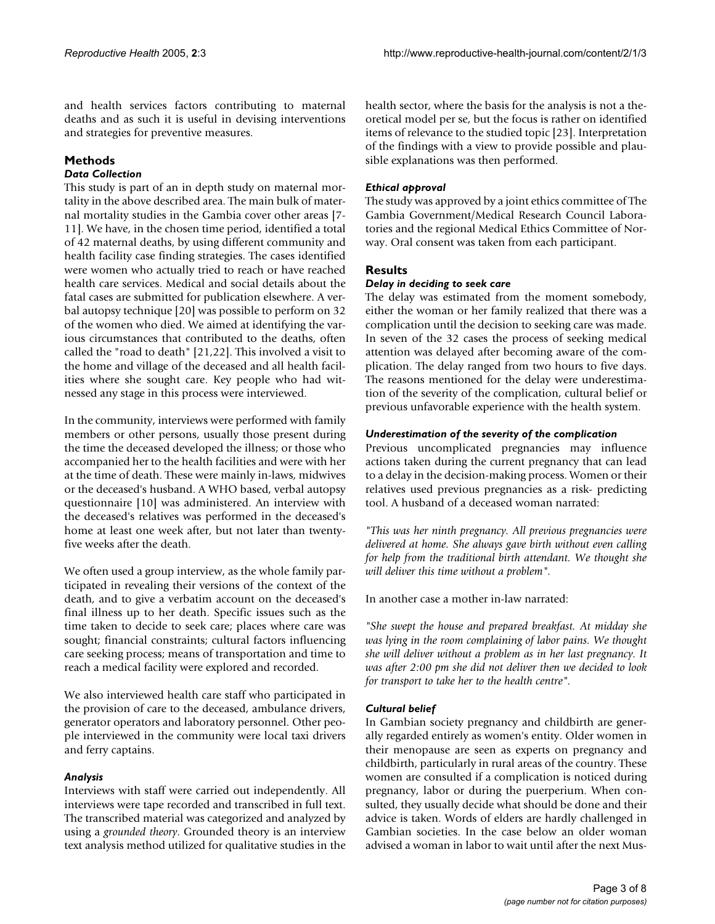and health services factors contributing to maternal deaths and as such it is useful in devising interventions and strategies for preventive measures.

# **Methods**

# *Data Collection*

This study is part of an in depth study on maternal mortality in the above described area. The main bulk of maternal mortality studies in the Gambia cover other areas [7- 11]. We have, in the chosen time period, identified a total of 42 maternal deaths, by using different community and health facility case finding strategies. The cases identified were women who actually tried to reach or have reached health care services. Medical and social details about the fatal cases are submitted for publication elsewhere. A verbal autopsy technique [20] was possible to perform on 32 of the women who died. We aimed at identifying the various circumstances that contributed to the deaths, often called the "road to death" [21,22]. This involved a visit to the home and village of the deceased and all health facilities where she sought care. Key people who had witnessed any stage in this process were interviewed.

In the community, interviews were performed with family members or other persons, usually those present during the time the deceased developed the illness; or those who accompanied her to the health facilities and were with her at the time of death. These were mainly in-laws, midwives or the deceased's husband. A WHO based, verbal autopsy questionnaire [10] was administered. An interview with the deceased's relatives was performed in the deceased's home at least one week after, but not later than twentyfive weeks after the death.

We often used a group interview, as the whole family participated in revealing their versions of the context of the death, and to give a verbatim account on the deceased's final illness up to her death. Specific issues such as the time taken to decide to seek care; places where care was sought; financial constraints; cultural factors influencing care seeking process; means of transportation and time to reach a medical facility were explored and recorded.

We also interviewed health care staff who participated in the provision of care to the deceased, ambulance drivers, generator operators and laboratory personnel. Other people interviewed in the community were local taxi drivers and ferry captains.

# *Analysis*

Interviews with staff were carried out independently. All interviews were tape recorded and transcribed in full text. The transcribed material was categorized and analyzed by using a *grounded theory*. Grounded theory is an interview text analysis method utilized for qualitative studies in the health sector, where the basis for the analysis is not a theoretical model per se, but the focus is rather on identified items of relevance to the studied topic [23]. Interpretation of the findings with a view to provide possible and plausible explanations was then performed.

# *Ethical approval*

The study was approved by a joint ethics committee of The Gambia Government/Medical Research Council Laboratories and the regional Medical Ethics Committee of Norway. Oral consent was taken from each participant.

# **Results**

# *Delay in deciding to seek care*

The delay was estimated from the moment somebody, either the woman or her family realized that there was a complication until the decision to seeking care was made. In seven of the 32 cases the process of seeking medical attention was delayed after becoming aware of the complication. The delay ranged from two hours to five days. The reasons mentioned for the delay were underestimation of the severity of the complication, cultural belief or previous unfavorable experience with the health system.

# *Underestimation of the severity of the complication*

Previous uncomplicated pregnancies may influence actions taken during the current pregnancy that can lead to a delay in the decision-making process. Women or their relatives used previous pregnancies as a risk- predicting tool. A husband of a deceased woman narrated:

*"This was her ninth pregnancy. All previous pregnancies were delivered at home. She always gave birth without even calling for help from the traditional birth attendant. We thought she will deliver this time without a problem".*

In another case a mother in-law narrated:

*"She swept the house and prepared breakfast. At midday she was lying in the room complaining of labor pains. We thought she will deliver without a problem as in her last pregnancy. It was after 2:00 pm she did not deliver then we decided to look for transport to take her to the health centre".*

# *Cultural belief*

In Gambian society pregnancy and childbirth are generally regarded entirely as women's entity. Older women in their menopause are seen as experts on pregnancy and childbirth, particularly in rural areas of the country. These women are consulted if a complication is noticed during pregnancy, labor or during the puerperium. When consulted, they usually decide what should be done and their advice is taken. Words of elders are hardly challenged in Gambian societies. In the case below an older woman advised a woman in labor to wait until after the next Mus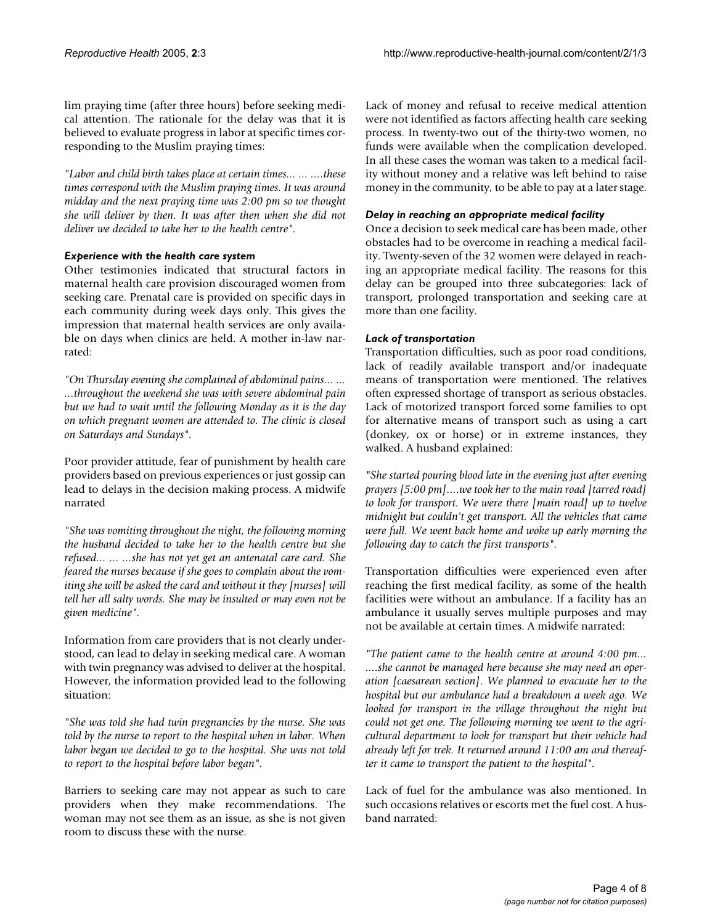lim praying time (after three hours) before seeking medical attention. The rationale for the delay was that it is believed to evaluate progress in labor at specific times corresponding to the Muslim praying times:

*"Labor and child birth takes place at certain times... ... ....these times correspond with the Muslim praying times. It was around midday and the next praying time was 2:00 pm so we thought she will deliver by then. It was after then when she did not deliver we decided to take her to the health centre".*

#### *Experience with the health care system*

Other testimonies indicated that structural factors in maternal health care provision discouraged women from seeking care. Prenatal care is provided on specific days in each community during week days only. This gives the impression that maternal health services are only available on days when clinics are held. A mother in-law narrated:

*"On Thursday evening she complained of abdominal pains... ... ...throughout the weekend she was with severe abdominal pain but we had to wait until the following Monday as it is the day on which pregnant women are attended to. The clinic is closed on Saturdays and Sundays".*

Poor provider attitude, fear of punishment by health care providers based on previous experiences or just gossip can lead to delays in the decision making process. A midwife narrated

*"She was vomiting throughout the night, the following morning the husband decided to take her to the health centre but she refused... ... ...she has not yet get an antenatal care card. She feared the nurses because if she goes to complain about the vomiting she will be asked the card and without it they [nurses] will tell her all salty words. She may be insulted or may even not be given medicine".*

Information from care providers that is not clearly understood, can lead to delay in seeking medical care. A woman with twin pregnancy was advised to deliver at the hospital. However, the information provided lead to the following situation:

*"She was told she had twin pregnancies by the nurse. She was told by the nurse to report to the hospital when in labor. When labor began we decided to go to the hospital. She was not told to report to the hospital before labor began".*

Barriers to seeking care may not appear as such to care providers when they make recommendations. The woman may not see them as an issue, as she is not given room to discuss these with the nurse.

Lack of money and refusal to receive medical attention were not identified as factors affecting health care seeking process. In twenty-two out of the thirty-two women, no funds were available when the complication developed. In all these cases the woman was taken to a medical facility without money and a relative was left behind to raise money in the community, to be able to pay at a later stage.

# *Delay in reaching an appropriate medical facility*

Once a decision to seek medical care has been made, other obstacles had to be overcome in reaching a medical facility. Twenty-seven of the 32 women were delayed in reaching an appropriate medical facility. The reasons for this delay can be grouped into three subcategories: lack of transport, prolonged transportation and seeking care at more than one facility.

# *Lack of transportation*

Transportation difficulties, such as poor road conditions, lack of readily available transport and/or inadequate means of transportation were mentioned. The relatives often expressed shortage of transport as serious obstacles. Lack of motorized transport forced some families to opt for alternative means of transport such as using a cart (donkey, ox or horse) or in extreme instances, they walked. A husband explained:

*"She started pouring blood late in the evening just after evening prayers [5:00 pm]....we took her to the main road [tarred road] to look for transport. We were there [main road] up to twelve midnight but couldn't get transport. All the vehicles that came were full. We went back home and woke up early morning the following day to catch the first transports".*

Transportation difficulties were experienced even after reaching the first medical facility, as some of the health facilities were without an ambulance. If a facility has an ambulance it usually serves multiple purposes and may not be available at certain times. A midwife narrated:

*"The patient came to the health centre at around 4:00 pm... ....she cannot be managed here because she may need an operation [caesarean section]. We planned to evacuate her to the hospital but our ambulance had a breakdown a week ago. We looked for transport in the village throughout the night but could not get one. The following morning we went to the agricultural department to look for transport but their vehicle had already left for trek. It returned around 11:00 am and thereafter it came to transport the patient to the hospital".*

Lack of fuel for the ambulance was also mentioned. In such occasions relatives or escorts met the fuel cost. A husband narrated: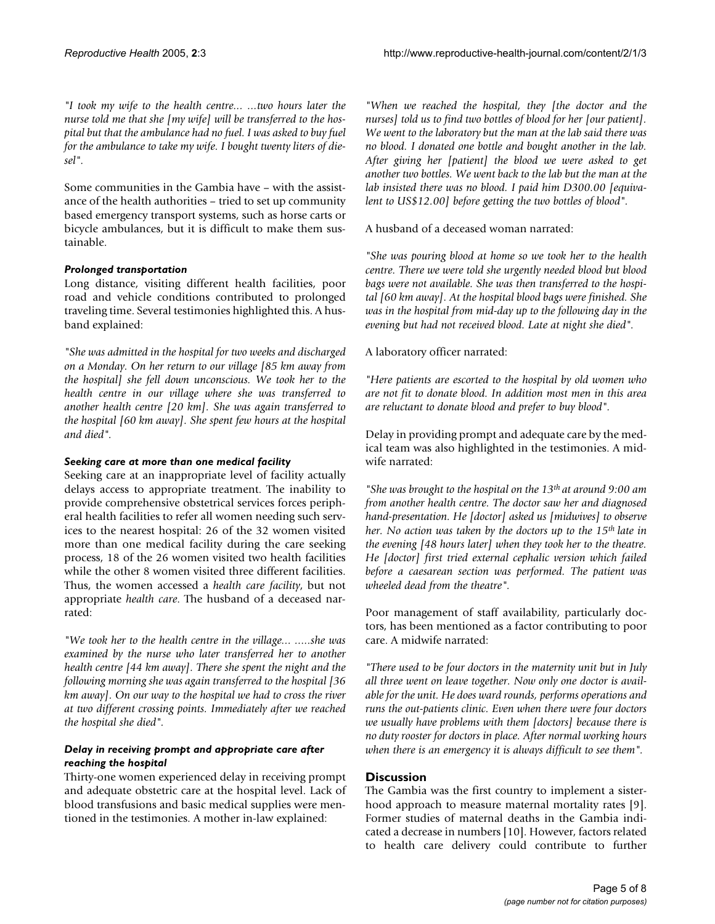*"I took my wife to the health centre... ...two hours later the nurse told me that she [my wife] will be transferred to the hospital but that the ambulance had no fuel. I was asked to buy fuel for the ambulance to take my wife. I bought twenty liters of diesel".*

Some communities in the Gambia have – with the assistance of the health authorities – tried to set up community based emergency transport systems, such as horse carts or bicycle ambulances, but it is difficult to make them sustainable.

#### *Prolonged transportation*

Long distance, visiting different health facilities, poor road and vehicle conditions contributed to prolonged traveling time. Several testimonies highlighted this. A husband explained:

*"She was admitted in the hospital for two weeks and discharged on a Monday. On her return to our village [85 km away from the hospital] she fell down unconscious. We took her to the health centre in our village where she was transferred to another health centre [20 km]. She was again transferred to the hospital [60 km away]. She spent few hours at the hospital and died".*

#### *Seeking care at more than one medical facility*

Seeking care at an inappropriate level of facility actually delays access to appropriate treatment. The inability to provide comprehensive obstetrical services forces peripheral health facilities to refer all women needing such services to the nearest hospital: 26 of the 32 women visited more than one medical facility during the care seeking process, 18 of the 26 women visited two health facilities while the other 8 women visited three different facilities. Thus, the women accessed a *health care facility*, but not appropriate *health care*. The husband of a deceased narrated:

*"We took her to the health centre in the village... .....she was examined by the nurse who later transferred her to another health centre [44 km away]. There she spent the night and the following morning she was again transferred to the hospital [36 km away]. On our way to the hospital we had to cross the river at two different crossing points. Immediately after we reached the hospital she died".*

#### *Delay in receiving prompt and appropriate care after reaching the hospital*

Thirty-one women experienced delay in receiving prompt and adequate obstetric care at the hospital level. Lack of blood transfusions and basic medical supplies were mentioned in the testimonies. A mother in-law explained:

*"When we reached the hospital, they [the doctor and the nurses] told us to find two bottles of blood for her [our patient]. We went to the laboratory but the man at the lab said there was no blood. I donated one bottle and bought another in the lab. After giving her [patient] the blood we were asked to get another two bottles. We went back to the lab but the man at the lab insisted there was no blood. I paid him D300.00 [equivalent to US\$12.00] before getting the two bottles of blood".*

A husband of a deceased woman narrated:

*"She was pouring blood at home so we took her to the health centre. There we were told she urgently needed blood but blood bags were not available. She was then transferred to the hospital [60 km away]. At the hospital blood bags were finished. She was in the hospital from mid-day up to the following day in the evening but had not received blood. Late at night she died".*

A laboratory officer narrated:

*"Here patients are escorted to the hospital by old women who are not fit to donate blood. In addition most men in this area are reluctant to donate blood and prefer to buy blood".*

Delay in providing prompt and adequate care by the medical team was also highlighted in the testimonies. A midwife narrated:

*"She was brought to the hospital on the 13th at around 9:00 am from another health centre. The doctor saw her and diagnosed hand-presentation. He [doctor] asked us [midwives] to observe her. No action was taken by the doctors up to the 15th late in the evening [48 hours later] when they took her to the theatre. He [doctor] first tried external cephalic version which failed before a caesarean section was performed. The patient was wheeled dead from the theatre".*

Poor management of staff availability, particularly doctors, has been mentioned as a factor contributing to poor care. A midwife narrated:

*"There used to be four doctors in the maternity unit but in July all three went on leave together. Now only one doctor is available for the unit. He does ward rounds, performs operations and runs the out-patients clinic. Even when there were four doctors we usually have problems with them [doctors] because there is no duty rooster for doctors in place. After normal working hours when there is an emergency it is always difficult to see them".*

# **Discussion**

The Gambia was the first country to implement a sisterhood approach to measure maternal mortality rates [9]. Former studies of maternal deaths in the Gambia indicated a decrease in numbers [10]. However, factors related to health care delivery could contribute to further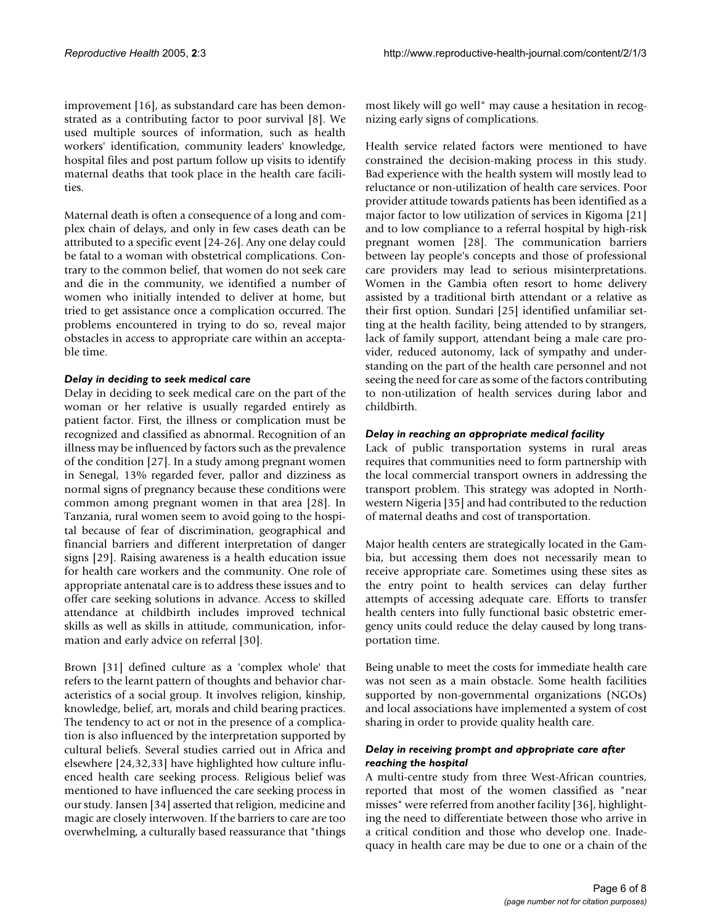improvement [16], as substandard care has been demonstrated as a contributing factor to poor survival [8]. We used multiple sources of information, such as health workers' identification, community leaders' knowledge, hospital files and post partum follow up visits to identify maternal deaths that took place in the health care facilities.

Maternal death is often a consequence of a long and complex chain of delays, and only in few cases death can be attributed to a specific event [24-26]. Any one delay could be fatal to a woman with obstetrical complications. Contrary to the common belief, that women do not seek care and die in the community, we identified a number of women who initially intended to deliver at home, but tried to get assistance once a complication occurred. The problems encountered in trying to do so, reveal major obstacles in access to appropriate care within an acceptable time.

# *Delay in deciding to seek medical care*

Delay in deciding to seek medical care on the part of the woman or her relative is usually regarded entirely as patient factor. First, the illness or complication must be recognized and classified as abnormal. Recognition of an illness may be influenced by factors such as the prevalence of the condition [27]. In a study among pregnant women in Senegal, 13% regarded fever, pallor and dizziness as normal signs of pregnancy because these conditions were common among pregnant women in that area [28]. In Tanzania, rural women seem to avoid going to the hospital because of fear of discrimination, geographical and financial barriers and different interpretation of danger signs [29]. Raising awareness is a health education issue for health care workers and the community. One role of appropriate antenatal care is to address these issues and to offer care seeking solutions in advance. Access to skilled attendance at childbirth includes improved technical skills as well as skills in attitude, communication, information and early advice on referral [30].

Brown [31] defined culture as a 'complex whole' that refers to the learnt pattern of thoughts and behavior characteristics of a social group. It involves religion, kinship, knowledge, belief, art, morals and child bearing practices. The tendency to act or not in the presence of a complication is also influenced by the interpretation supported by cultural beliefs. Several studies carried out in Africa and elsewhere [24,32,33] have highlighted how culture influenced health care seeking process. Religious belief was mentioned to have influenced the care seeking process in our study. Jansen [34] asserted that religion, medicine and magic are closely interwoven. If the barriers to care are too overwhelming, a culturally based reassurance that "things

most likely will go well" may cause a hesitation in recognizing early signs of complications.

Health service related factors were mentioned to have constrained the decision-making process in this study. Bad experience with the health system will mostly lead to reluctance or non-utilization of health care services. Poor provider attitude towards patients has been identified as a major factor to low utilization of services in Kigoma [21] and to low compliance to a referral hospital by high-risk pregnant women [28]. The communication barriers between lay people's concepts and those of professional care providers may lead to serious misinterpretations. Women in the Gambia often resort to home delivery assisted by a traditional birth attendant or a relative as their first option. Sundari [25] identified unfamiliar setting at the health facility, being attended to by strangers, lack of family support, attendant being a male care provider, reduced autonomy, lack of sympathy and understanding on the part of the health care personnel and not seeing the need for care as some of the factors contributing to non-utilization of health services during labor and childbirth.

# *Delay in reaching an appropriate medical facility*

Lack of public transportation systems in rural areas requires that communities need to form partnership with the local commercial transport owners in addressing the transport problem. This strategy was adopted in Northwestern Nigeria [35] and had contributed to the reduction of maternal deaths and cost of transportation.

Major health centers are strategically located in the Gambia, but accessing them does not necessarily mean to receive appropriate care. Sometimes using these sites as the entry point to health services can delay further attempts of accessing adequate care. Efforts to transfer health centers into fully functional basic obstetric emergency units could reduce the delay caused by long transportation time.

Being unable to meet the costs for immediate health care was not seen as a main obstacle. Some health facilities supported by non-governmental organizations (NGOs) and local associations have implemented a system of cost sharing in order to provide quality health care.

#### *Delay in receiving prompt and appropriate care after reaching the hospital*

A multi-centre study from three West-African countries, reported that most of the women classified as "near misses" were referred from another facility [36], highlighting the need to differentiate between those who arrive in a critical condition and those who develop one. Inadequacy in health care may be due to one or a chain of the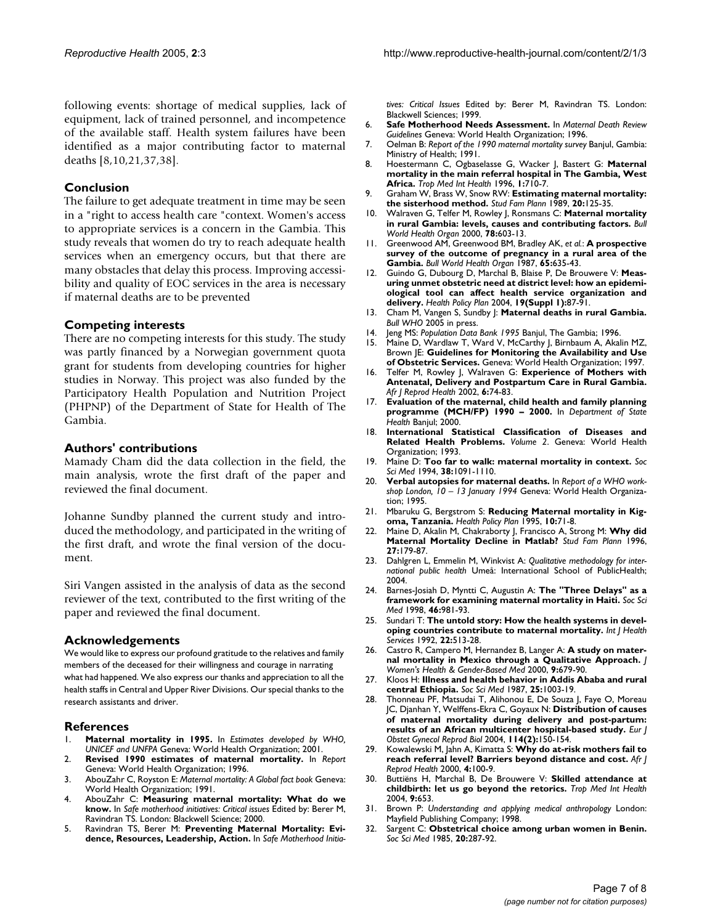following events: shortage of medical supplies, lack of equipment, lack of trained personnel, and incompetence of the available staff. Health system failures have been identified as a major contributing factor to maternal deaths [8,10,21,37,38].

#### **Conclusion**

The failure to get adequate treatment in time may be seen in a "right to access health care "context. Women's access to appropriate services is a concern in the Gambia. This study reveals that women do try to reach adequate health services when an emergency occurs, but that there are many obstacles that delay this process. Improving accessibility and quality of EOC services in the area is necessary if maternal deaths are to be prevented

# **Competing interests**

There are no competing interests for this study. The study was partly financed by a Norwegian government quota grant for students from developing countries for higher studies in Norway. This project was also funded by the Participatory Health Population and Nutrition Project (PHPNP) of the Department of State for Health of The Gambia.

#### **Authors' contributions**

Mamady Cham did the data collection in the field, the main analysis, wrote the first draft of the paper and reviewed the final document.

Johanne Sundby planned the current study and introduced the methodology, and participated in the writing of the first draft, and wrote the final version of the document.

Siri Vangen assisted in the analysis of data as the second reviewer of the text, contributed to the first writing of the paper and reviewed the final document.

#### **Acknowledgements**

We would like to express our profound gratitude to the relatives and family members of the deceased for their willingness and courage in narrating what had happened. We also express our thanks and appreciation to all the health staffs in Central and Upper River Divisions. Our special thanks to the research assistants and driver.

# **References**

- 1. **Maternal mortality in 1995.** In *Estimates developed by WHO, UNICEF and UNFPA* Geneva: World Health Organization; 2001.
- 2. **Revised 1990 estimates of maternal mortality.** In *Report* Geneva: World Health Organization; 1996.
- 3. AbouZahr C, Royston E: *Maternal mortality: A Global fact book* Geneva: World Health Organization; 1991.
- 4. AbouZahr C: **Measuring maternal mortality: What do we know.** In *Safe motherhood initiatives: Critical issues* Edited by: Berer M, Ravindran TS. London: Blackwell Science; 2000.
- 5. Ravindran TS, Berer M: **Preventing Maternal Mortality: Evidence, Resources, Leadership, Action.** In *Safe Motherhood Initia-*

*tives: Critical Issues* Edited by: Berer M, Ravindran TS. London: Blackwell Sciences; 1999.

- 6. **Safe Motherhood Needs Assessment.** In *Maternal Death Review Guidelines* Geneva: World Health Organization; 1996.
- 7. Oelman B: *Report of the 1990 maternal mortality survey* Banjul, Gambia: Ministry of Health; 1991.
- 8. Hoestermann C, Ogbaselasse G, Wacker J, Bastert G: **[Maternal](http://www.ncbi.nlm.nih.gov/entrez/query.fcgi?cmd=Retrieve&db=PubMed&dopt=Abstract&list_uids=8911458) [mortality in the main referral hospital in The Gambia, West](http://www.ncbi.nlm.nih.gov/entrez/query.fcgi?cmd=Retrieve&db=PubMed&dopt=Abstract&list_uids=8911458) [Africa.](http://www.ncbi.nlm.nih.gov/entrez/query.fcgi?cmd=Retrieve&db=PubMed&dopt=Abstract&list_uids=8911458)** *Trop Med Int Health* 1996, **1:**710-7.
- 9. Graham W, Brass W, Snow RW: **[Estimating maternal mortality:](http://www.ncbi.nlm.nih.gov/entrez/query.fcgi?cmd=Retrieve&db=PubMed&dopt=Abstract&list_uids=2734809) [the sisterhood method.](http://www.ncbi.nlm.nih.gov/entrez/query.fcgi?cmd=Retrieve&db=PubMed&dopt=Abstract&list_uids=2734809)** *Stud Fam Plann* 1989, **20:**125-35.
- 10. Walraven G, Telfer M, Rowley J, Ronsmans C: **[Maternal mortality](http://www.ncbi.nlm.nih.gov/entrez/query.fcgi?cmd=Retrieve&db=PubMed&dopt=Abstract&list_uids=10859854) [in rural Gambia: levels, causes and contributing factors.](http://www.ncbi.nlm.nih.gov/entrez/query.fcgi?cmd=Retrieve&db=PubMed&dopt=Abstract&list_uids=10859854)** *Bull World Health Organ* 2000, **78:**603-13.
- 11. Greenwood AM, Greenwood BM, Bradley AK, *et al.*: **[A prospective](http://www.ncbi.nlm.nih.gov/entrez/query.fcgi?cmd=Retrieve&db=PubMed&dopt=Abstract&list_uids=3501343) [survey of the outcome of pregnancy in a rural area of the](http://www.ncbi.nlm.nih.gov/entrez/query.fcgi?cmd=Retrieve&db=PubMed&dopt=Abstract&list_uids=3501343) [Gambia.](http://www.ncbi.nlm.nih.gov/entrez/query.fcgi?cmd=Retrieve&db=PubMed&dopt=Abstract&list_uids=3501343)** *Bull World Health Organ* 1987, **65:**635-43.
- 12. Guindo G, Dubourg D, Marchal B, Blaise P, De Brouwere V: **Measuring unmet obstetric need at district level: how an epidemiological tool can affect health service organization and delivery.** *Health Policy Plan* 2004, **19(Suppl 1):**87-91.
- 13. Cham M, Vangen S, Sundby J: **Maternal deaths in rural Gambia.** *Bull WHO* 2005 in press.
- 14. Jeng MS: *Population Data Bank 1995* Banjul, The Gambia; 1996.
- 15. Maine D, Wardlaw T, Ward V, McCarthy J, Birnbaum A, Akalin MZ, Brown JE: **Guidelines for Monitoring the Availability and Use of Obstetric Services.** Geneva: World Health Organization; 1997.
- 16. Telfer M, Rowley J, Walraven G: **[Experience of Mothers with](http://www.ncbi.nlm.nih.gov/entrez/query.fcgi?cmd=Retrieve&db=PubMed&dopt=Abstract&list_uids=12476731) [Antenatal, Delivery and Postpartum Care in Rural Gambia.](http://www.ncbi.nlm.nih.gov/entrez/query.fcgi?cmd=Retrieve&db=PubMed&dopt=Abstract&list_uids=12476731)** *Afr J Reprod Health* 2002, **6:**74-83.
- 17. **Evaluation of the maternal, child health and family planning programme (MCH/FP) 1990 – 2000.** In *Department of State Health* Banjul; 2000.
- 18. **International Statistical Classification of Diseases and Related Health Problems.** *Volume 2*. Geneva: World Health Organization; 1993.
- 19. Maine D: **[Too far to walk: maternal mortality in context.](http://www.ncbi.nlm.nih.gov/entrez/query.fcgi?cmd=Retrieve&db=PubMed&dopt=Abstract&list_uids=8042057)** *Soc Sci Med* 1994, **38:**1091-1110.
- 20. **Verbal autopsies for maternal deaths.** In *Report of a WHO workshop London, 10 – 13 January 1994* Geneva: World Health Organization; 1995.
- 21. Mbaruku G, Bergstrom S: **[Reducing Maternal mortality in Kig](http://www.ncbi.nlm.nih.gov/entrez/query.fcgi?cmd=Retrieve&db=PubMed&dopt=Abstract&list_uids=10141624)[oma, Tanzania.](http://www.ncbi.nlm.nih.gov/entrez/query.fcgi?cmd=Retrieve&db=PubMed&dopt=Abstract&list_uids=10141624)** *Health Policy Plan* 1995, **10:**71-8.
- 22. Maine D, Akalin M, Chakraborty J, Francisco A, Strong M: **[Why did](http://www.ncbi.nlm.nih.gov/entrez/query.fcgi?cmd=Retrieve&db=PubMed&dopt=Abstract&list_uids=8875731) [Maternal Mortality Decline in Matlab?](http://www.ncbi.nlm.nih.gov/entrez/query.fcgi?cmd=Retrieve&db=PubMed&dopt=Abstract&list_uids=8875731)** *Stud Fam Plann* 1996, **27:**179-87.
- 23. Dahlgren L, Emmelin M, Winkvist A: *Qualitative methodology for international public health* Umeå: International School of PublicHealth; 2004.
- 24. Barnes-Josiah D, Myntti C, Augustin A: **[The "Three Delays" as a](http://www.ncbi.nlm.nih.gov/entrez/query.fcgi?cmd=Retrieve&db=PubMed&dopt=Abstract&list_uids=9579750) [framework for examining maternal mortality in Haiti.](http://www.ncbi.nlm.nih.gov/entrez/query.fcgi?cmd=Retrieve&db=PubMed&dopt=Abstract&list_uids=9579750)** *Soc Sci Med* 1998, **46:**981-93.
- 25. Sundari T: **The untold story: How the health systems in developing countries contribute to maternal mortality.** *Int J Health Services* 1992, **22:**513-28.
- 26. Castro R, Campero M, Hernandez B, Langer A: **A study on maternal mortality in Mexico through a Qualitative Approach.** *J Women's Health & Gender-Based Med* 2000, **9:**679-90.
- 27. Kloos H: **[Illness and health behavior in Addis Ababa and rural](http://www.ncbi.nlm.nih.gov/entrez/query.fcgi?cmd=Retrieve&db=PubMed&dopt=Abstract&list_uids=3423840) [central Ethiopia.](http://www.ncbi.nlm.nih.gov/entrez/query.fcgi?cmd=Retrieve&db=PubMed&dopt=Abstract&list_uids=3423840)** *Soc Sci Med* 1987, **25:**1003-19.
- 28. Thonneau PF, Matsudai T, Alihonou E, De Souza J, Faye O, Moreau JC, Djanhan Y, Welffens-Ekra C, Goyaux N: **[Distribution of causes](http://www.ncbi.nlm.nih.gov/entrez/query.fcgi?cmd=Retrieve&db=PubMed&dopt=Abstract&list_uids=15140507) [of maternal mortality during delivery and post-partum:](http://www.ncbi.nlm.nih.gov/entrez/query.fcgi?cmd=Retrieve&db=PubMed&dopt=Abstract&list_uids=15140507) [results of an African multicenter hospital-based study.](http://www.ncbi.nlm.nih.gov/entrez/query.fcgi?cmd=Retrieve&db=PubMed&dopt=Abstract&list_uids=15140507)** *Eur J Obstet Gynecol Reprod Biol* 2004, **114(2):**150-154.
- 29. Kowalewski M, Jahn A, Kimatta S: **[Why do at-risk mothers fail to](http://www.ncbi.nlm.nih.gov/entrez/query.fcgi?cmd=Retrieve&db=PubMed&dopt=Abstract&list_uids=11000713) [reach referral level? Barriers beyond distance and cost.](http://www.ncbi.nlm.nih.gov/entrez/query.fcgi?cmd=Retrieve&db=PubMed&dopt=Abstract&list_uids=11000713)** *Afr J Reprod Health* 2000, **4:**100-9.
- 30. Buttiëns H, Marchal B, De Brouwere V: **[Skilled attendance at](http://www.ncbi.nlm.nih.gov/entrez/query.fcgi?cmd=Retrieve&db=PubMed&dopt=Abstract&list_uids=15189454) [childbirth: let us go beyond the retorics.](http://www.ncbi.nlm.nih.gov/entrez/query.fcgi?cmd=Retrieve&db=PubMed&dopt=Abstract&list_uids=15189454)** *Trop Med Int Health* 2004, **9:**653.
- 31. Brown P: *Understanding and applying medical anthropology* London: Mayfield Publishing Company; 1998.
- 32. Sargent C: **[Obstetrical choice among urban women in Benin.](http://www.ncbi.nlm.nih.gov/entrez/query.fcgi?cmd=Retrieve&db=PubMed&dopt=Abstract&list_uids=3975695)** *Soc Sci Med* 1985, **20:**287-92.